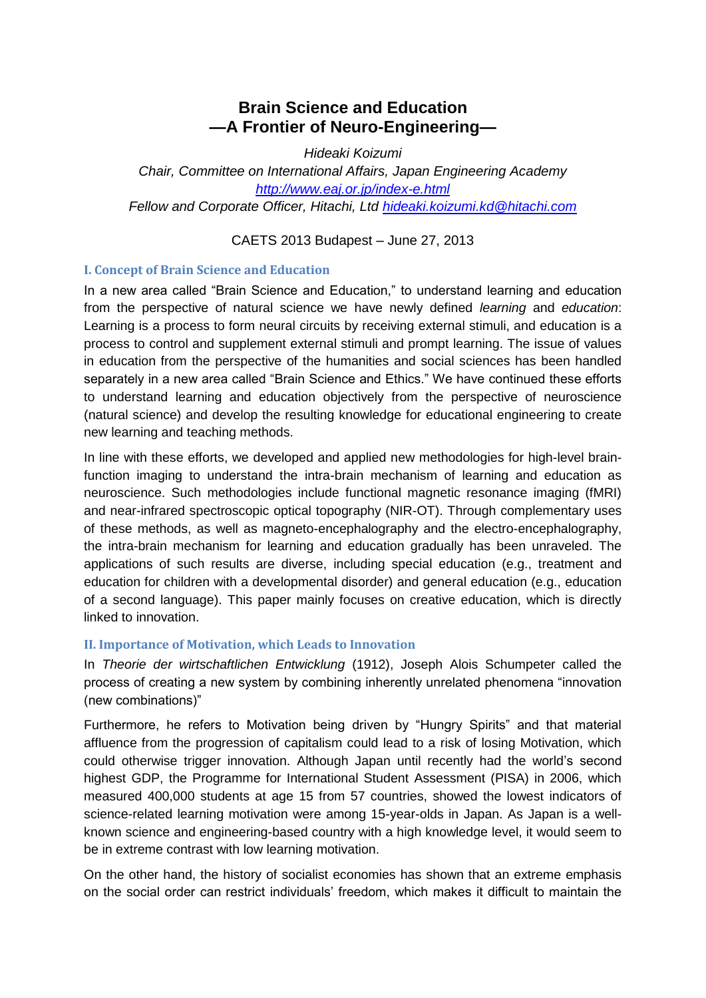# **Brain Science and Education —A Frontier of Neuro-Engineering—**

*Hideaki Koizumi* 

*Chair, Committee on International Affairs, Japan Engineering Academy <http://www.eaj.or.jp/index-e.html> Fellow and Corporate Officer, Hitachi, Ltd [hideaki.koizumi.kd@hitachi.com](mailto:hideaki.koizumi.kd@hitachi.com)*

CAETS 2013 Budapest – June 27, 2013

## **I. Concept of Brain Science and Education**

In a new area called "Brain Science and Education," to understand learning and education from the perspective of natural science we have newly defined *learning* and *education*: Learning is a process to form neural circuits by receiving external stimuli, and education is a process to control and supplement external stimuli and prompt learning. The issue of values in education from the perspective of the humanities and social sciences has been handled separately in a new area called "Brain Science and Ethics." We have continued these efforts to understand learning and education objectively from the perspective of neuroscience (natural science) and develop the resulting knowledge for educational engineering to create new learning and teaching methods.

In line with these efforts, we developed and applied new methodologies for high-level brainfunction imaging to understand the intra-brain mechanism of learning and education as neuroscience. Such methodologies include functional magnetic resonance imaging (fMRI) and near-infrared spectroscopic optical topography (NIR-OT). Through complementary uses of these methods, as well as magneto-encephalography and the electro-encephalography, the intra-brain mechanism for learning and education gradually has been unraveled. The applications of such results are diverse, including special education (e.g., treatment and education for children with a developmental disorder) and general education (e.g., education of a second language). This paper mainly focuses on creative education, which is directly linked to innovation.

# **II. Importance of Motivation, which Leads to Innovation**

In *Theorie der wirtschaftlichen Entwicklung* (1912), Joseph Alois Schumpeter called the process of creating a new system by combining inherently unrelated phenomena "innovation (new combinations)"

Furthermore, he refers to Motivation being driven by "Hungry Spirits" and that material affluence from the progression of capitalism could lead to a risk of losing Motivation, which could otherwise trigger innovation. Although Japan until recently had the world's second highest GDP, the Programme for International Student Assessment (PISA) in 2006, which measured 400,000 students at age 15 from 57 countries, showed the lowest indicators of science-related learning motivation were among 15-year-olds in Japan. As Japan is a wellknown science and engineering-based country with a high knowledge level, it would seem to be in extreme contrast with low learning motivation.

On the other hand, the history of socialist economies has shown that an extreme emphasis on the social order can restrict individuals' freedom, which makes it difficult to maintain the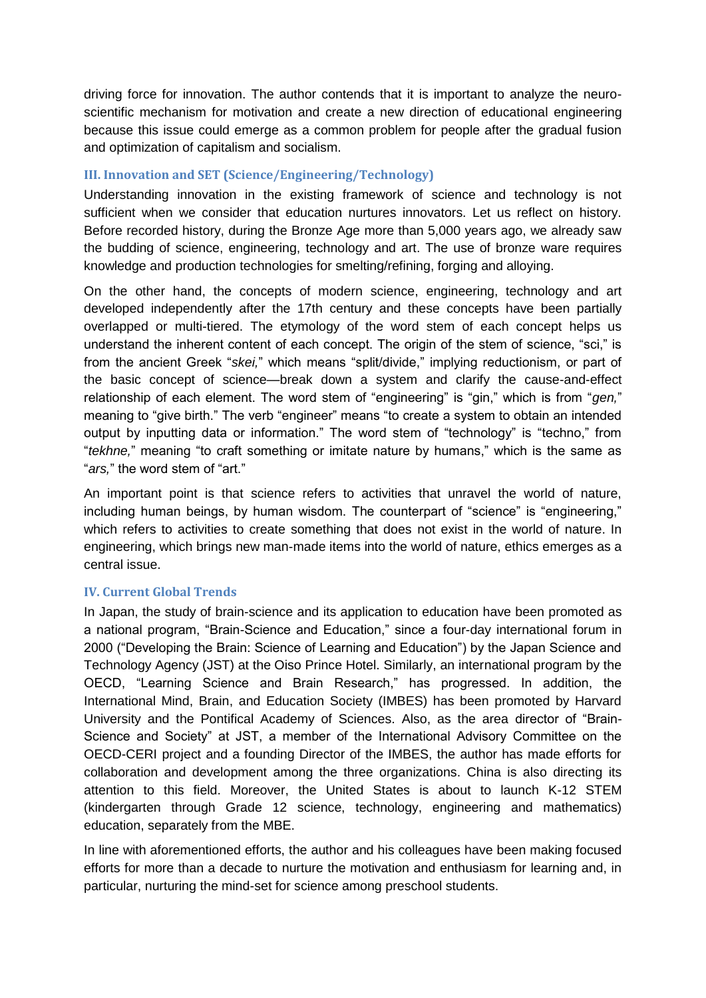driving force for innovation. The author contends that it is important to analyze the neuroscientific mechanism for motivation and create a new direction of educational engineering because this issue could emerge as a common problem for people after the gradual fusion and optimization of capitalism and socialism.

# **III. Innovation and SET (Science/Engineering/Technology)**

Understanding innovation in the existing framework of science and technology is not sufficient when we consider that education nurtures innovators. Let us reflect on history. Before recorded history, during the Bronze Age more than 5,000 years ago, we already saw the budding of science, engineering, technology and art. The use of bronze ware requires knowledge and production technologies for smelting/refining, forging and alloying.

On the other hand, the concepts of modern science, engineering, technology and art developed independently after the 17th century and these concepts have been partially overlapped or multi-tiered. The etymology of the word stem of each concept helps us understand the inherent content of each concept. The origin of the stem of science, "sci," is from the ancient Greek "*skei,*" which means "split/divide," implying reductionism, or part of the basic concept of science—break down a system and clarify the cause-and-effect relationship of each element. The word stem of "engineering" is "gin," which is from "*gen,*" meaning to "give birth." The verb "engineer" means "to create a system to obtain an intended output by inputting data or information." The word stem of "technology" is "techno," from "*tekhne,*" meaning "to craft something or imitate nature by humans," which is the same as "*ars,*" the word stem of "art."

An important point is that science refers to activities that unravel the world of nature, including human beings, by human wisdom. The counterpart of "science" is "engineering," which refers to activities to create something that does not exist in the world of nature. In engineering, which brings new man-made items into the world of nature, ethics emerges as a central issue.

## **IV. Current Global Trends**

In Japan, the study of brain-science and its application to education have been promoted as a national program, "Brain-Science and Education," since a four-day international forum in 2000 ("Developing the Brain: Science of Learning and Education") by the Japan Science and Technology Agency (JST) at the Oiso Prince Hotel. Similarly, an international program by the OECD, "Learning Science and Brain Research," has progressed. In addition, the International Mind, Brain, and Education Society (IMBES) has been promoted by Harvard University and the Pontifical Academy of Sciences. Also, as the area director of "Brain-Science and Society" at JST, a member of the International Advisory Committee on the OECD-CERI project and a founding Director of the IMBES, the author has made efforts for collaboration and development among the three organizations. China is also directing its attention to this field. Moreover, the United States is about to launch K-12 STEM (kindergarten through Grade 12 science, technology, engineering and mathematics) education, separately from the MBE.

In line with aforementioned efforts, the author and his colleagues have been making focused efforts for more than a decade to nurture the motivation and enthusiasm for learning and, in particular, nurturing the mind-set for science among preschool students.